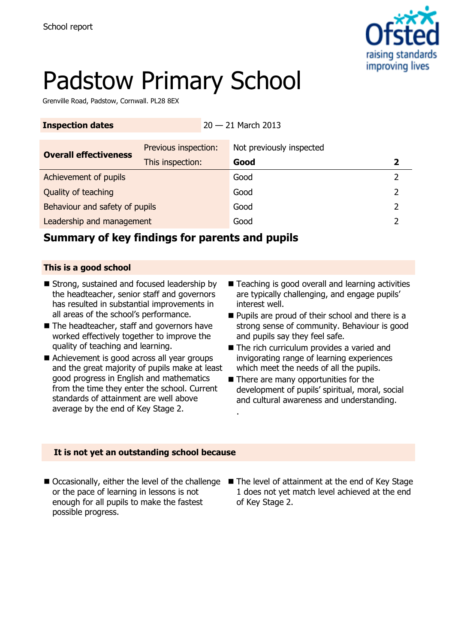

# Padstow Primary School

Grenville Road, Padstow, Cornwall. PL28 8EX

| <b>Inspection dates</b>        |                      |  | $20 - 21$ March 2013     |   |
|--------------------------------|----------------------|--|--------------------------|---|
| <b>Overall effectiveness</b>   | Previous inspection: |  | Not previously inspected |   |
|                                | This inspection:     |  | Good                     |   |
| Achievement of pupils          |                      |  | Good                     |   |
| Quality of teaching            |                      |  | Good                     | 2 |
| Behaviour and safety of pupils |                      |  | Good                     | 2 |
| Leadership and management      |                      |  | Good                     |   |
|                                |                      |  |                          |   |

.

### **Summary of key findings for parents and pupils**

### **This is a good school**

- Strong, sustained and focused leadership by the headteacher, senior staff and governors has resulted in substantial improvements in all areas of the school's performance.
- The headteacher, staff and governors have worked effectively together to improve the quality of teaching and learning.
- Achievement is good across all year groups and the great majority of pupils make at least good progress in English and mathematics from the time they enter the school. Current standards of attainment are well above average by the end of Key Stage 2.
- Teaching is good overall and learning activities are typically challenging, and engage pupils' interest well.
- Pupils are proud of their school and there is a strong sense of community. Behaviour is good and pupils say they feel safe.
- The rich curriculum provides a varied and invigorating range of learning experiences which meet the needs of all the pupils.
- There are many opportunities for the development of pupils' spiritual, moral, social and cultural awareness and understanding.

### **It is not yet an outstanding school because**

- or the pace of learning in lessons is not enough for all pupils to make the fastest possible progress.
- Occasionally, either the level of the challenge The level of attainment at the end of Key Stage 1 does not yet match level achieved at the end of Key Stage 2.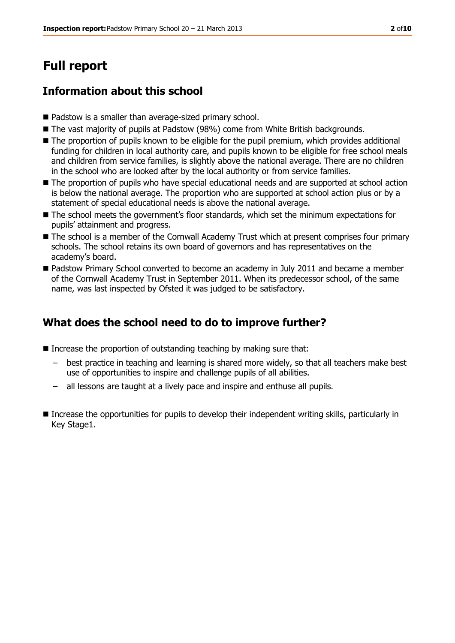# **Full report**

### **Information about this school**

- Padstow is a smaller than average-sized primary school.
- The vast majority of pupils at Padstow (98%) come from White British backgrounds.
- The proportion of pupils known to be eligible for the pupil premium, which provides additional funding for children in local authority care, and pupils known to be eligible for free school meals and children from service families, is slightly above the national average. There are no children in the school who are looked after by the local authority or from service families.
- $\blacksquare$  The proportion of pupils who have special educational needs and are supported at school action is below the national average. The proportion who are supported at school action plus or by a statement of special educational needs is above the national average.
- $\blacksquare$  The school meets the government's floor standards, which set the minimum expectations for pupils' attainment and progress.
- The school is a member of the Cornwall Academy Trust which at present comprises four primary schools. The school retains its own board of governors and has representatives on the academy's board.
- Padstow Primary School converted to become an academy in July 2011 and became a member of the Cornwall Academy Trust in September 2011. When its predecessor school, of the same name, was last inspected by Ofsted it was judged to be satisfactory.

### **What does the school need to do to improve further?**

- $\blacksquare$  Increase the proportion of outstanding teaching by making sure that:
	- best practice in teaching and learning is shared more widely, so that all teachers make best use of opportunities to inspire and challenge pupils of all abilities.
	- all lessons are taught at a lively pace and inspire and enthuse all pupils.
- Increase the opportunities for pupils to develop their independent writing skills, particularly in Key Stage1.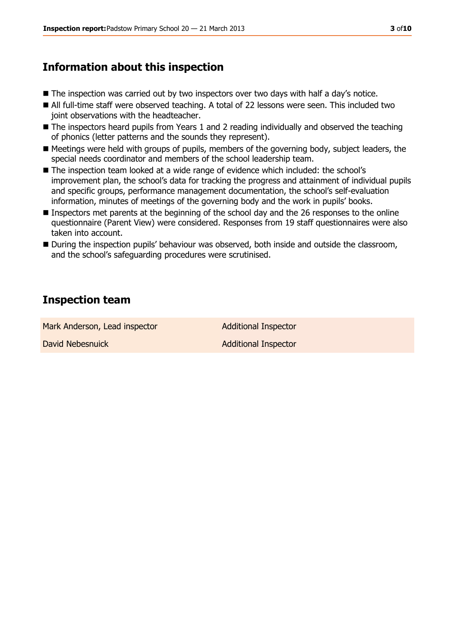### **Information about this inspection**

- The inspection was carried out by two inspectors over two days with half a day's notice.
- All full-time staff were observed teaching. A total of 22 lessons were seen. This included two joint observations with the headteacher.
- The inspectors heard pupils from Years 1 and 2 reading individually and observed the teaching of phonics (letter patterns and the sounds they represent).
- Meetings were held with groups of pupils, members of the governing body, subject leaders, the special needs coordinator and members of the school leadership team.
- The inspection team looked at a wide range of evidence which included: the school's improvement plan, the school's data for tracking the progress and attainment of individual pupils and specific groups, performance management documentation, the school's self-evaluation information, minutes of meetings of the governing body and the work in pupils' books.
- Inspectors met parents at the beginning of the school day and the 26 responses to the online questionnaire (Parent View) were considered. Responses from 19 staff questionnaires were also taken into account.
- During the inspection pupils' behaviour was observed, both inside and outside the classroom, and the school's safeguarding procedures were scrutinised.

### **Inspection team**

Mark Anderson, Lead inspector **Additional Inspector** David Nebesnuick **Additional Inspector**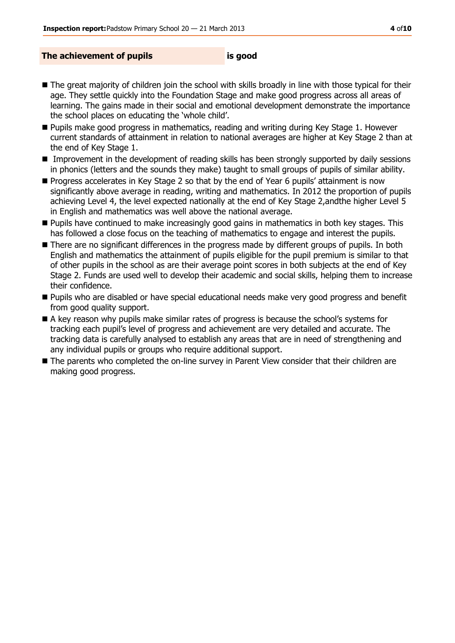#### **The achievement of pupils is good**

- The great majority of children join the school with skills broadly in line with those typical for their age. They settle quickly into the Foundation Stage and make good progress across all areas of learning. The gains made in their social and emotional development demonstrate the importance the school places on educating the 'whole child'.
- **Pupils make good progress in mathematics, reading and writing during Key Stage 1. However** current standards of attainment in relation to national averages are higher at Key Stage 2 than at the end of Key Stage 1.
- **IMProvement in the development of reading skills has been strongly supported by daily sessions** in phonics (letters and the sounds they make) taught to small groups of pupils of similar ability.
- **Progress accelerates in Key Stage 2 so that by the end of Year 6 pupils' attainment is now** significantly above average in reading, writing and mathematics. In 2012 the proportion of pupils achieving Level 4, the level expected nationally at the end of Key Stage 2,andthe higher Level 5 in English and mathematics was well above the national average.
- **Pupils have continued to make increasingly good gains in mathematics in both key stages. This** has followed a close focus on the teaching of mathematics to engage and interest the pupils.
- There are no significant differences in the progress made by different groups of pupils. In both English and mathematics the attainment of pupils eligible for the pupil premium is similar to that of other pupils in the school as are their average point scores in both subjects at the end of Key Stage 2. Funds are used well to develop their academic and social skills, helping them to increase their confidence.
- **Pupils who are disabled or have special educational needs make very good progress and benefit** from good quality support.
- A key reason why pupils make similar rates of progress is because the school's systems for tracking each pupil's level of progress and achievement are very detailed and accurate. The tracking data is carefully analysed to establish any areas that are in need of strengthening and any individual pupils or groups who require additional support.
- The parents who completed the on-line survey in Parent View consider that their children are making good progress.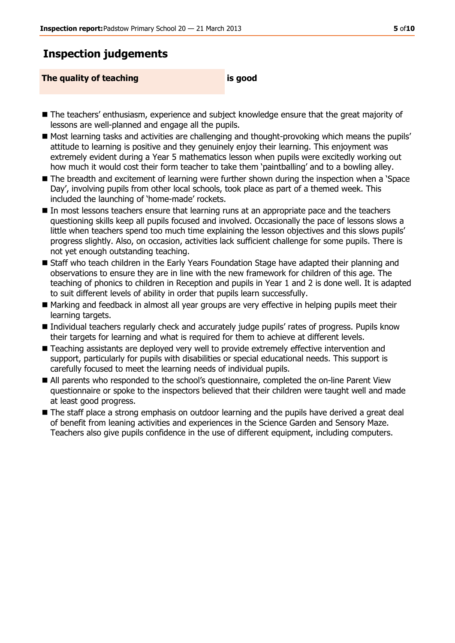### **Inspection judgements**

**The quality of teaching is good**

- The teachers' enthusiasm, experience and subject knowledge ensure that the great majority of lessons are well-planned and engage all the pupils.
- Most learning tasks and activities are challenging and thought-provoking which means the pupils' attitude to learning is positive and they genuinely enjoy their learning. This enjoyment was extremely evident during a Year 5 mathematics lesson when pupils were excitedly working out how much it would cost their form teacher to take them 'paintballing' and to a bowling alley.
- The breadth and excitement of learning were further shown during the inspection when a 'Space Day', involving pupils from other local schools, took place as part of a themed week. This included the launching of 'home-made' rockets.
- In most lessons teachers ensure that learning runs at an appropriate pace and the teachers questioning skills keep all pupils focused and involved. Occasionally the pace of lessons slows a little when teachers spend too much time explaining the lesson objectives and this slows pupils' progress slightly. Also, on occasion, activities lack sufficient challenge for some pupils. There is not yet enough outstanding teaching.
- Staff who teach children in the Early Years Foundation Stage have adapted their planning and observations to ensure they are in line with the new framework for children of this age. The teaching of phonics to children in Reception and pupils in Year 1 and 2 is done well. It is adapted to suit different levels of ability in order that pupils learn successfully.
- Marking and feedback in almost all year groups are very effective in helping pupils meet their learning targets.
- Individual teachers regularly check and accurately judge pupils' rates of progress. Pupils know their targets for learning and what is required for them to achieve at different levels.
- Teaching assistants are deployed very well to provide extremely effective intervention and support, particularly for pupils with disabilities or special educational needs. This support is carefully focused to meet the learning needs of individual pupils.
- All parents who responded to the school's questionnaire, completed the on-line Parent View questionnaire or spoke to the inspectors believed that their children were taught well and made at least good progress.
- The staff place a strong emphasis on outdoor learning and the pupils have derived a great deal of benefit from leaning activities and experiences in the Science Garden and Sensory Maze. Teachers also give pupils confidence in the use of different equipment, including computers.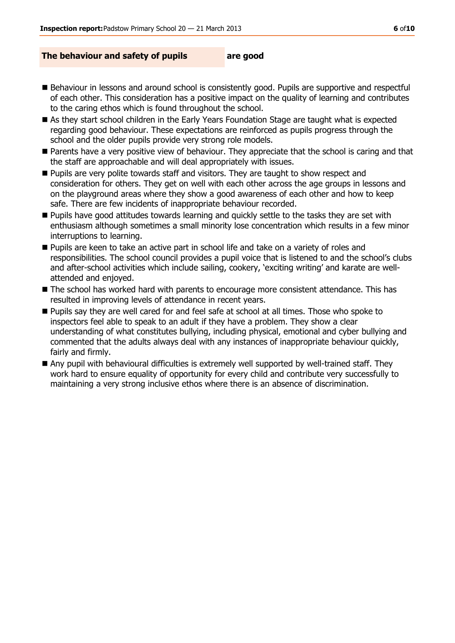#### **The behaviour and safety of pupils are good**

- Behaviour in lessons and around school is consistently good. Pupils are supportive and respectful of each other. This consideration has a positive impact on the quality of learning and contributes to the caring ethos which is found throughout the school.
- As they start school children in the Early Years Foundation Stage are taught what is expected regarding good behaviour. These expectations are reinforced as pupils progress through the school and the older pupils provide very strong role models.
- **Parents have a very positive view of behaviour. They appreciate that the school is caring and that** the staff are approachable and will deal appropriately with issues.
- **Pupils are very polite towards staff and visitors. They are taught to show respect and** consideration for others. They get on well with each other across the age groups in lessons and on the playground areas where they show a good awareness of each other and how to keep safe. There are few incidents of inappropriate behaviour recorded.
- **Pupils have good attitudes towards learning and quickly settle to the tasks they are set with** enthusiasm although sometimes a small minority lose concentration which results in a few minor interruptions to learning.
- **Pupils are keen to take an active part in school life and take on a variety of roles and** responsibilities. The school council provides a pupil voice that is listened to and the school's clubs and after-school activities which include sailing, cookery, 'exciting writing' and karate are wellattended and enjoyed.
- The school has worked hard with parents to encourage more consistent attendance. This has resulted in improving levels of attendance in recent years.
- **Pupils say they are well cared for and feel safe at school at all times. Those who spoke to** inspectors feel able to speak to an adult if they have a problem. They show a clear understanding of what constitutes bullying, including physical, emotional and cyber bullying and commented that the adults always deal with any instances of inappropriate behaviour quickly, fairly and firmly.
- Any pupil with behavioural difficulties is extremely well supported by well-trained staff. They work hard to ensure equality of opportunity for every child and contribute very successfully to maintaining a very strong inclusive ethos where there is an absence of discrimination.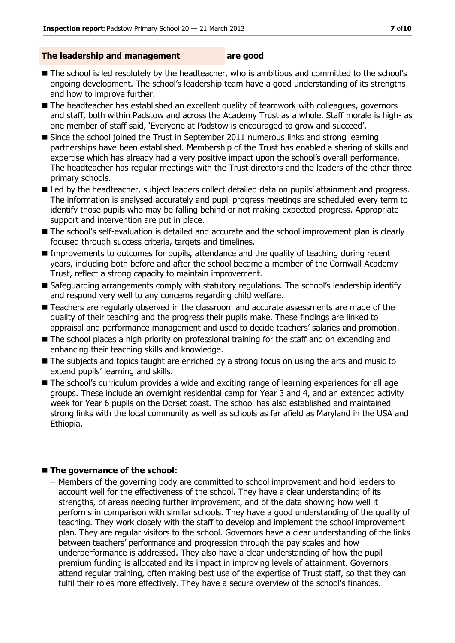#### **The leadership and management are good**

- The school is led resolutely by the headteacher, who is ambitious and committed to the school's ongoing development. The school's leadership team have a good understanding of its strengths and how to improve further.
- The headteacher has established an excellent quality of teamwork with colleagues, governors and staff, both within Padstow and across the Academy Trust as a whole. Staff morale is high- as one member of staff said, 'Everyone at Padstow is encouraged to grow and succeed'.
- Since the school joined the Trust in September 2011 numerous links and strong learning partnerships have been established. Membership of the Trust has enabled a sharing of skills and expertise which has already had a very positive impact upon the school's overall performance. The headteacher has regular meetings with the Trust directors and the leaders of the other three primary schools.
- Led by the headteacher, subject leaders collect detailed data on pupils' attainment and progress. The information is analysed accurately and pupil progress meetings are scheduled every term to identify those pupils who may be falling behind or not making expected progress. Appropriate support and intervention are put in place.
- The school's self-evaluation is detailed and accurate and the school improvement plan is clearly focused through success criteria, targets and timelines.
- **Improvements to outcomes for pupils, attendance and the quality of teaching during recent** years, including both before and after the school became a member of the Cornwall Academy Trust, reflect a strong capacity to maintain improvement.
- Safeguarding arrangements comply with statutory regulations. The school's leadership identify and respond very well to any concerns regarding child welfare.
- Teachers are regularly observed in the classroom and accurate assessments are made of the quality of their teaching and the progress their pupils make. These findings are linked to appraisal and performance management and used to decide teachers' salaries and promotion.
- The school places a high priority on professional training for the staff and on extending and enhancing their teaching skills and knowledge.
- The subjects and topics taught are enriched by a strong focus on using the arts and music to extend pupils' learning and skills.
- The school's curriculum provides a wide and exciting range of learning experiences for all age groups. These include an overnight residential camp for Year 3 and 4, and an extended activity week for Year 6 pupils on the Dorset coast. The school has also established and maintained strong links with the local community as well as schools as far afield as Maryland in the USA and Ethiopia.

#### ■ The governance of the school:

– Members of the governing body are committed to school improvement and hold leaders to account well for the effectiveness of the school. They have a clear understanding of its strengths, of areas needing further improvement, and of the data showing how well it performs in comparison with similar schools. They have a good understanding of the quality of teaching. They work closely with the staff to develop and implement the school improvement plan. They are regular visitors to the school. Governors have a clear understanding of the links between teachers' performance and progression through the pay scales and how underperformance is addressed. They also have a clear understanding of how the pupil premium funding is allocated and its impact in improving levels of attainment. Governors attend regular training, often making best use of the expertise of Trust staff, so that they can fulfil their roles more effectively. They have a secure overview of the school's finances.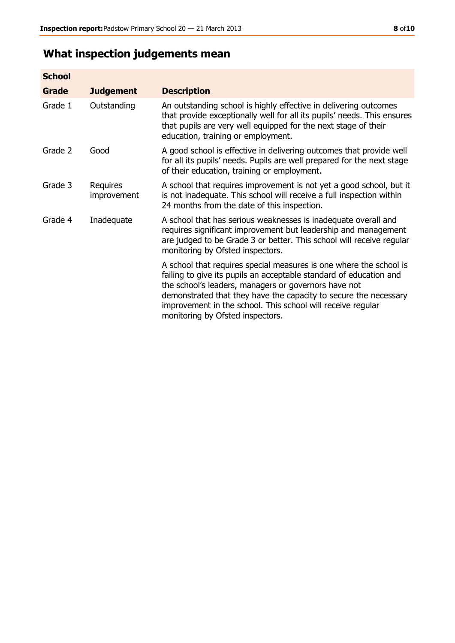## **What inspection judgements mean**

| <b>School</b> |                         |                                                                                                                                                                                                                                                                                                                                                                         |
|---------------|-------------------------|-------------------------------------------------------------------------------------------------------------------------------------------------------------------------------------------------------------------------------------------------------------------------------------------------------------------------------------------------------------------------|
| <b>Grade</b>  | <b>Judgement</b>        | <b>Description</b>                                                                                                                                                                                                                                                                                                                                                      |
| Grade 1       | Outstanding             | An outstanding school is highly effective in delivering outcomes<br>that provide exceptionally well for all its pupils' needs. This ensures<br>that pupils are very well equipped for the next stage of their<br>education, training or employment.                                                                                                                     |
| Grade 2       | Good                    | A good school is effective in delivering outcomes that provide well<br>for all its pupils' needs. Pupils are well prepared for the next stage<br>of their education, training or employment.                                                                                                                                                                            |
| Grade 3       | Requires<br>improvement | A school that requires improvement is not yet a good school, but it<br>is not inadequate. This school will receive a full inspection within<br>24 months from the date of this inspection.                                                                                                                                                                              |
| Grade 4       | Inadequate              | A school that has serious weaknesses is inadequate overall and<br>requires significant improvement but leadership and management<br>are judged to be Grade 3 or better. This school will receive regular<br>monitoring by Ofsted inspectors.                                                                                                                            |
|               |                         | A school that requires special measures is one where the school is<br>failing to give its pupils an acceptable standard of education and<br>the school's leaders, managers or governors have not<br>demonstrated that they have the capacity to secure the necessary<br>improvement in the school. This school will receive regular<br>monitoring by Ofsted inspectors. |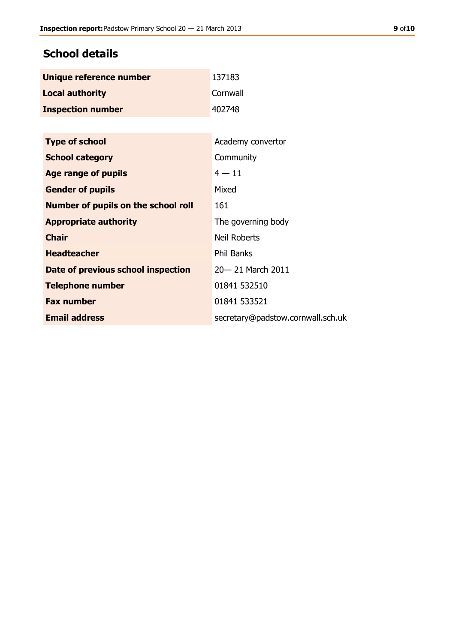### **School details**

| Unique reference number  | 137183   |
|--------------------------|----------|
| <b>Local authority</b>   | Cornwall |
| <b>Inspection number</b> | 402748   |

| Academy convertor                 |
|-----------------------------------|
| Community                         |
| $4 - 11$                          |
| Mixed                             |
| 161                               |
| The governing body                |
| <b>Neil Roberts</b>               |
| <b>Phil Banks</b>                 |
| 20 - 21 March 2011                |
| 01841 532510                      |
| 01841 533521                      |
| secretary@padstow.cornwall.sch.uk |
|                                   |